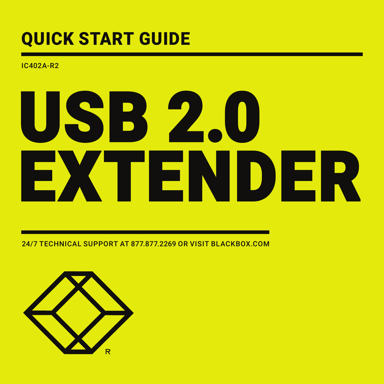## QUICK START GUIDE

IC402A-R2

# USB 2.0 EXTENDER

24/7 TECHNICAL SUPPORT AT 877.877.2269 OR VISIT BLACKBOX.COM

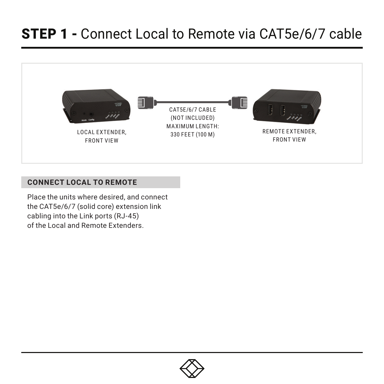#### STEP 1 - Connect Local to Remote via CAT5e/6/7 cable



#### **CONNECT LOCAL TO REMOTE**

Place the units where desired, and connect the CAT5e/6/7 (solid core) extension link cabling into the Link ports (RJ-45) of the Local and Remote Extenders.

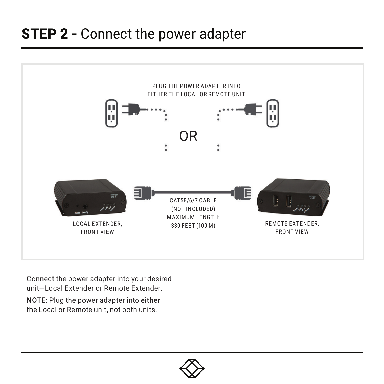### **STEP 2 - Connect the power adapter**



Connect the power adapter into your desired unit—Local Extender or Remote Extender. NOTE: Plug the power adapter into either the Local or Remote unit, not both units.

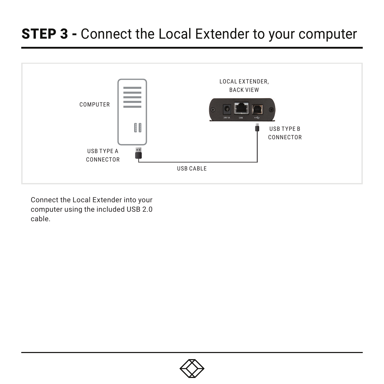#### **STEP 3 - Connect the Local Extender to your computer**



Connect the Local Extender into your computer using the included USB 2.0 cable.

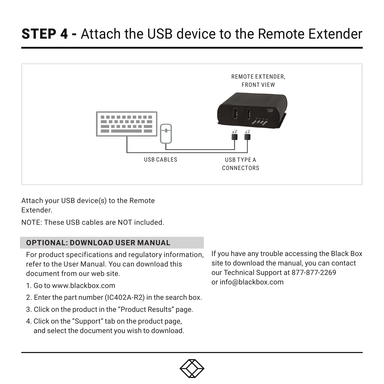#### STEP 4 - Attach the USB device to the Remote Extender



Attach your USB device(s) to the Remote Extender.

NOTE: These USB cables are NOT included.

#### **OPTIONAL: DOWNLOAD USER MANUAL**

For product specifications and regulatory information, refer to the User Manual. You can download this document from our web site.

- 1. Go to www.blackbox.com
- 2. Enter the part number (IC402A-R2) in the search box.
- 3. Click on the product in the "Product Results" page.
- 4. Click on the "Support" tab on the product page, and select the document you wish to download.

If you have any trouble accessing the Black Box site to download the manual, you can contact our Technical Support at 877-877-2269 or info@blackbox.com